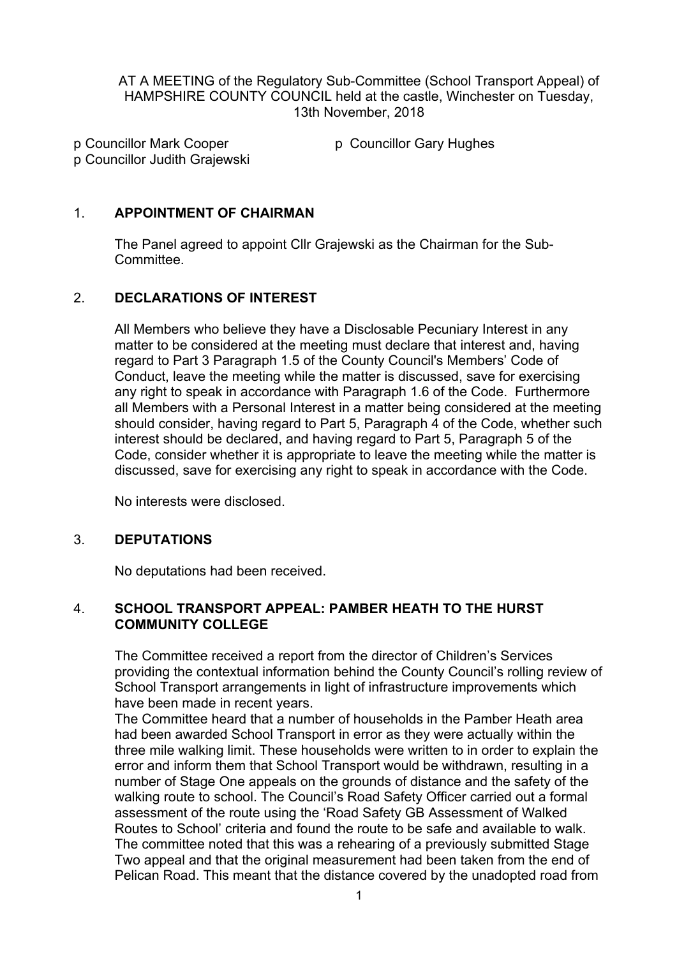AT A MEETING of the Regulatory Sub-Committee (School Transport Appeal) of HAMPSHIRE COUNTY COUNCIL held at the castle, Winchester on Tuesday, 13th November, 2018

p Councillor Mark Cooper p Councillor Judith Grajewski p Councillor Gary Hughes

## 1. **APPOINTMENT OF CHAIRMAN**

The Panel agreed to appoint Cllr Grajewski as the Chairman for the Sub-Committee.

# 2. **DECLARATIONS OF INTEREST**

All Members who believe they have a Disclosable Pecuniary Interest in any matter to be considered at the meeting must declare that interest and, having regard to Part 3 Paragraph 1.5 of the County Council's Members' Code of Conduct, leave the meeting while the matter is discussed, save for exercising any right to speak in accordance with Paragraph 1.6 of the Code. Furthermore all Members with a Personal Interest in a matter being considered at the meeting should consider, having regard to Part 5, Paragraph 4 of the Code, whether such interest should be declared, and having regard to Part 5, Paragraph 5 of the Code, consider whether it is appropriate to leave the meeting while the matter is discussed, save for exercising any right to speak in accordance with the Code.

No interests were disclosed.

### 3. **DEPUTATIONS**

No deputations had been received.

### 4. **SCHOOL TRANSPORT APPEAL: PAMBER HEATH TO THE HURST COMMUNITY COLLEGE**

The Committee received a report from the director of Children's Services providing the contextual information behind the County Council's rolling review of School Transport arrangements in light of infrastructure improvements which have been made in recent years.

The Committee heard that a number of households in the Pamber Heath area had been awarded School Transport in error as they were actually within the three mile walking limit. These households were written to in order to explain the error and inform them that School Transport would be withdrawn, resulting in a number of Stage One appeals on the grounds of distance and the safety of the walking route to school. The Council's Road Safety Officer carried out a formal assessment of the route using the 'Road Safety GB Assessment of Walked Routes to School' criteria and found the route to be safe and available to walk. The committee noted that this was a rehearing of a previously submitted Stage Two appeal and that the original measurement had been taken from the end of Pelican Road. This meant that the distance covered by the unadopted road from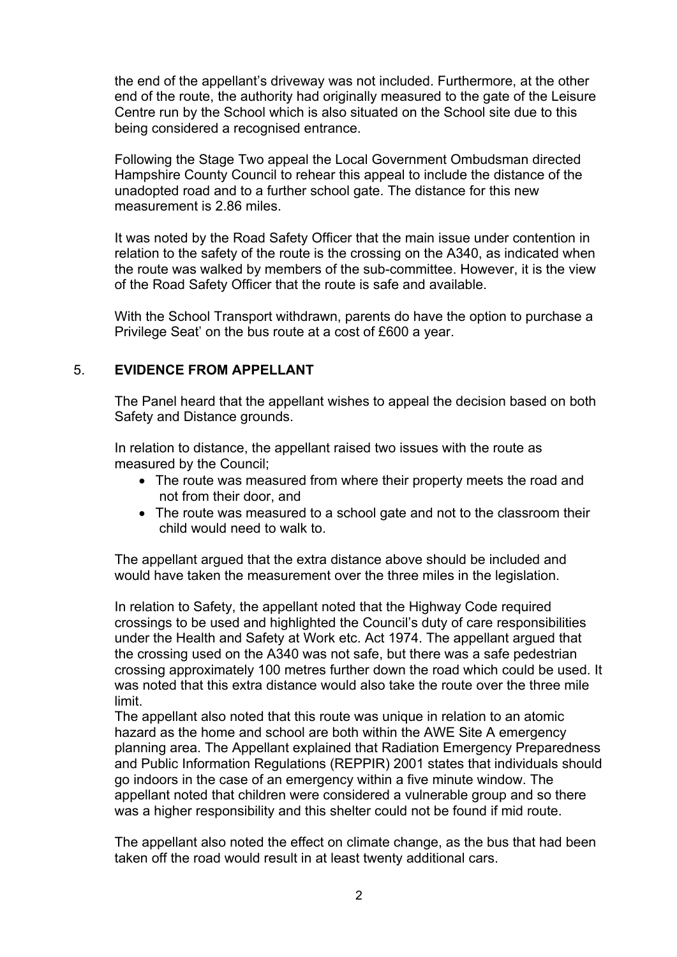the end of the appellant's driveway was not included. Furthermore, at the other end of the route, the authority had originally measured to the gate of the Leisure Centre run by the School which is also situated on the School site due to this being considered a recognised entrance.

Following the Stage Two appeal the Local Government Ombudsman directed Hampshire County Council to rehear this appeal to include the distance of the unadopted road and to a further school gate. The distance for this new measurement is 2.86 miles.

It was noted by the Road Safety Officer that the main issue under contention in relation to the safety of the route is the crossing on the A340, as indicated when the route was walked by members of the sub-committee. However, it is the view of the Road Safety Officer that the route is safe and available.

With the School Transport withdrawn, parents do have the option to purchase a Privilege Seat' on the bus route at a cost of £600 a year.

### 5. **EVIDENCE FROM APPELLANT**

The Panel heard that the appellant wishes to appeal the decision based on both Safety and Distance grounds.

In relation to distance, the appellant raised two issues with the route as measured by the Council;

- The route was measured from where their property meets the road and not from their door, and
- The route was measured to a school gate and not to the classroom their child would need to walk to.

The appellant argued that the extra distance above should be included and would have taken the measurement over the three miles in the legislation.

In relation to Safety, the appellant noted that the Highway Code required crossings to be used and highlighted the Council's duty of care responsibilities under the Health and Safety at Work etc. Act 1974. The appellant argued that the crossing used on the A340 was not safe, but there was a safe pedestrian crossing approximately 100 metres further down the road which could be used. It was noted that this extra distance would also take the route over the three mile limit.

The appellant also noted that this route was unique in relation to an atomic hazard as the home and school are both within the AWE Site A emergency planning area. The Appellant explained that Radiation Emergency Preparedness and Public Information Regulations (REPPIR) 2001 states that individuals should go indoors in the case of an emergency within a five minute window. The appellant noted that children were considered a vulnerable group and so there was a higher responsibility and this shelter could not be found if mid route.

The appellant also noted the effect on climate change, as the bus that had been taken off the road would result in at least twenty additional cars.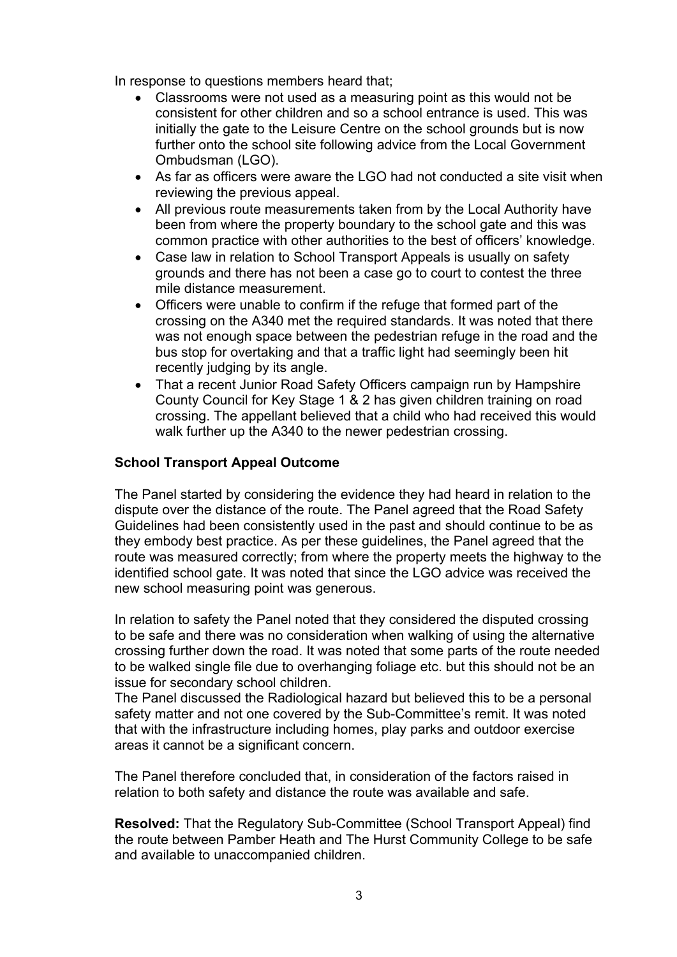In response to questions members heard that;

- Classrooms were not used as a measuring point as this would not be consistent for other children and so a school entrance is used. This was initially the gate to the Leisure Centre on the school grounds but is now further onto the school site following advice from the Local Government Ombudsman (LGO).
- As far as officers were aware the LGO had not conducted a site visit when reviewing the previous appeal.
- All previous route measurements taken from by the Local Authority have been from where the property boundary to the school gate and this was common practice with other authorities to the best of officers' knowledge.
- Case law in relation to School Transport Appeals is usually on safety grounds and there has not been a case go to court to contest the three mile distance measurement.
- Officers were unable to confirm if the refuge that formed part of the crossing on the A340 met the required standards. It was noted that there was not enough space between the pedestrian refuge in the road and the bus stop for overtaking and that a traffic light had seemingly been hit recently judging by its angle.
- That a recent Junior Road Safety Officers campaign run by Hampshire County Council for Key Stage 1 & 2 has given children training on road crossing. The appellant believed that a child who had received this would walk further up the A340 to the newer pedestrian crossing.

### **School Transport Appeal Outcome**

The Panel started by considering the evidence they had heard in relation to the dispute over the distance of the route. The Panel agreed that the Road Safety Guidelines had been consistently used in the past and should continue to be as they embody best practice. As per these guidelines, the Panel agreed that the route was measured correctly; from where the property meets the highway to the identified school gate. It was noted that since the LGO advice was received the new school measuring point was generous.

In relation to safety the Panel noted that they considered the disputed crossing to be safe and there was no consideration when walking of using the alternative crossing further down the road. It was noted that some parts of the route needed to be walked single file due to overhanging foliage etc. but this should not be an issue for secondary school children.

The Panel discussed the Radiological hazard but believed this to be a personal safety matter and not one covered by the Sub-Committee's remit. It was noted that with the infrastructure including homes, play parks and outdoor exercise areas it cannot be a significant concern.

The Panel therefore concluded that, in consideration of the factors raised in relation to both safety and distance the route was available and safe.

**Resolved:** That the Regulatory Sub-Committee (School Transport Appeal) find the route between Pamber Heath and The Hurst Community College to be safe and available to unaccompanied children.